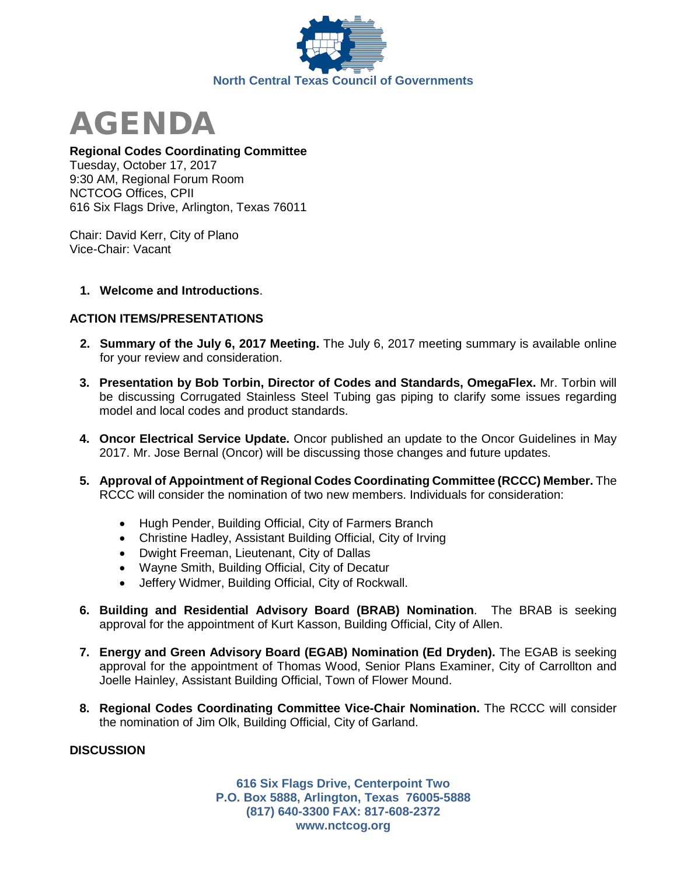



### **Regional Codes Coordinating Committee**

Tuesday, October 17, 2017 9:30 AM, Regional Forum Room NCTCOG Offices, CPII 616 Six Flags Drive, Arlington, Texas 76011

Chair: David Kerr, City of Plano Vice-Chair: Vacant

### **1. Welcome and Introductions**.

# **ACTION ITEMS/PRESENTATIONS**

- **2. Summary of the July 6, 2017 Meeting.** The July 6, 2017 meeting summary is available online for your review and consideration.
- **3. Presentation by Bob Torbin, Director of Codes and Standards, OmegaFlex.** Mr. Torbin will be discussing Corrugated Stainless Steel Tubing gas piping to clarify some issues regarding model and local codes and product standards.
- **4. Oncor Electrical Service Update.** Oncor published an update to the Oncor Guidelines in May 2017. Mr. Jose Bernal (Oncor) will be discussing those changes and future updates.
- **5. Approval of Appointment of Regional Codes Coordinating Committee (RCCC) Member.** The RCCC will consider the nomination of two new members. Individuals for consideration:
	- Hugh Pender, Building Official, City of Farmers Branch
	- Christine Hadley, Assistant Building Official, City of Irving
	- Dwight Freeman, Lieutenant, City of Dallas
	- Wayne Smith, Building Official, City of Decatur
	- Jeffery Widmer, Building Official, City of Rockwall.
- **6. Building and Residential Advisory Board (BRAB) Nomination**. The BRAB is seeking approval for the appointment of Kurt Kasson, Building Official, City of Allen.
- **7. Energy and Green Advisory Board (EGAB) Nomination (Ed Dryden).** The EGAB is seeking approval for the appointment of Thomas Wood, Senior Plans Examiner, City of Carrollton and Joelle Hainley, Assistant Building Official, Town of Flower Mound.
- **8. Regional Codes Coordinating Committee Vice-Chair Nomination.** The RCCC will consider the nomination of Jim Olk, Building Official, City of Garland.

# **DISCUSSION**

**616 Six Flags Drive, Centerpoint Two P.O. Box 5888, Arlington, Texas 76005-5888 (817) 640-3300 FAX: 817-608-2372 www.nctcog.org**